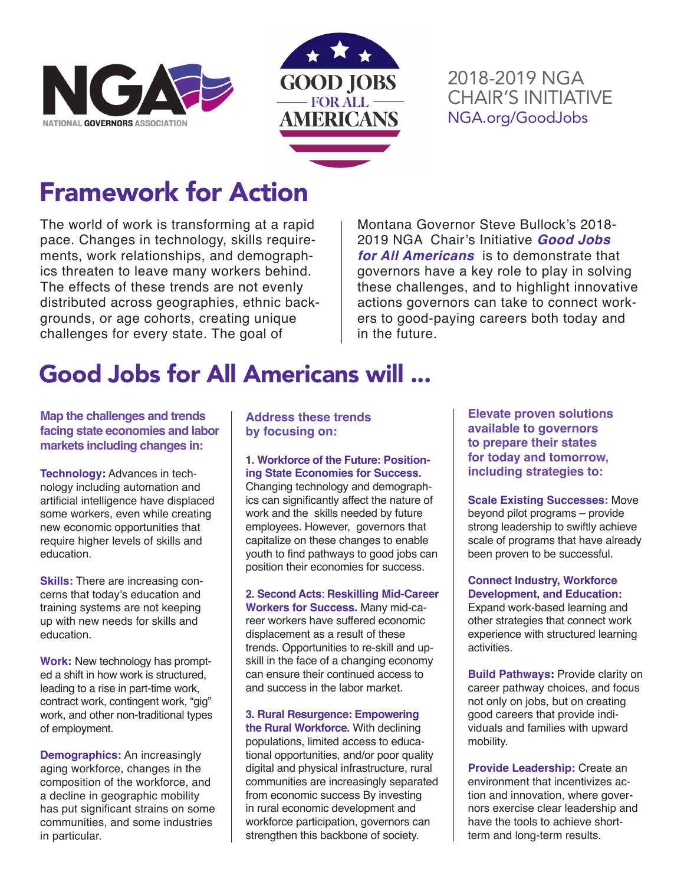



#### 2018-2019 NGA CHAIR'S INITIATIVE NGA.org/GoodJobs

# Framework for Action

The world of work is transforming at a rapid pace. Changes in technology, skills requirements, work relationships, and demographics threaten to leave many workers behind. The effects of these trends are not evenly distributed across geographies, ethnic backgrounds, or age cohorts, creating unique challenges for every state. The goal of

Montana Governor Steve Bullock's 2018- 2019 NGA Chair's Initiative *Good Jobs for All Americans* is to demonstrate that governors have a key role to play in solving these challenges, and to highlight innovative actions governors can take to connect workers to good-paying careers both today and in the future.

## Good Jobs for All Americans will ...

#### **Map the challenges and trends facing state economies and labor markets including changes in:**

**Technology:** Advances in technology including automation and artificial intelligence have displaced some workers, even while creating new economic opportunities that require higher levels of skills and education.

**Skills:** There are increasing concerns that today's education and training systems are not keeping up with new needs for skills and education.

**Work:** New technology has prompted a shift in how work is structured, leading to a rise in part-time work, contract work, contingent work, "gig" work, and other non-traditional types of employment.

**Demographics:** An increasingly aging workforce, changes in the composition of the workforce, and a decline in geographic mobility has put significant strains on some communities, and some industries in particular.

#### **Address these trends by focusing on:**

#### **1. Workforce of the Future: Positioning State Economies for Success.**

Changing technology and demographics can significantly affect the nature of work and the skills needed by future employees. However, governors that capitalize on these changes to enable youth to find pathways to good jobs can position their economies for success.

**2. Second Acts**: **Reskilling Mid-Career Workers for Success.** Many mid-career workers have suffered economic displacement as a result of these trends. Opportunities to re-skill and upskill in the face of a changing economy can ensure their continued access to and success in the labor market.

**3. Rural Resurgence: Empowering the Rural Workforce.** With declining populations, limited access to educational opportunities, and/or poor quality digital and physical infrastructure, rural communities are increasingly separated from economic success By investing in rural economic development and workforce participation, governors can strengthen this backbone of society.

**Elevate proven solutions available to governors to prepare their states for today and tomorrow, including strategies to:**

**Scale Existing Successes:** Move beyond pilot programs – provide strong leadership to swiftly achieve scale of programs that have already been proven to be successful.

**Connect Industry, Workforce Development, and Education:**

Expand work-based learning and other strategies that connect work experience with structured learning activities.

**Build Pathways: Provide clarity on** career pathway choices, and focus not only on jobs, but on creating good careers that provide individuals and families with upward mobility.

**Provide Leadership:** Create an environment that incentivizes action and innovation, where governors exercise clear leadership and have the tools to achieve shortterm and long-term results.